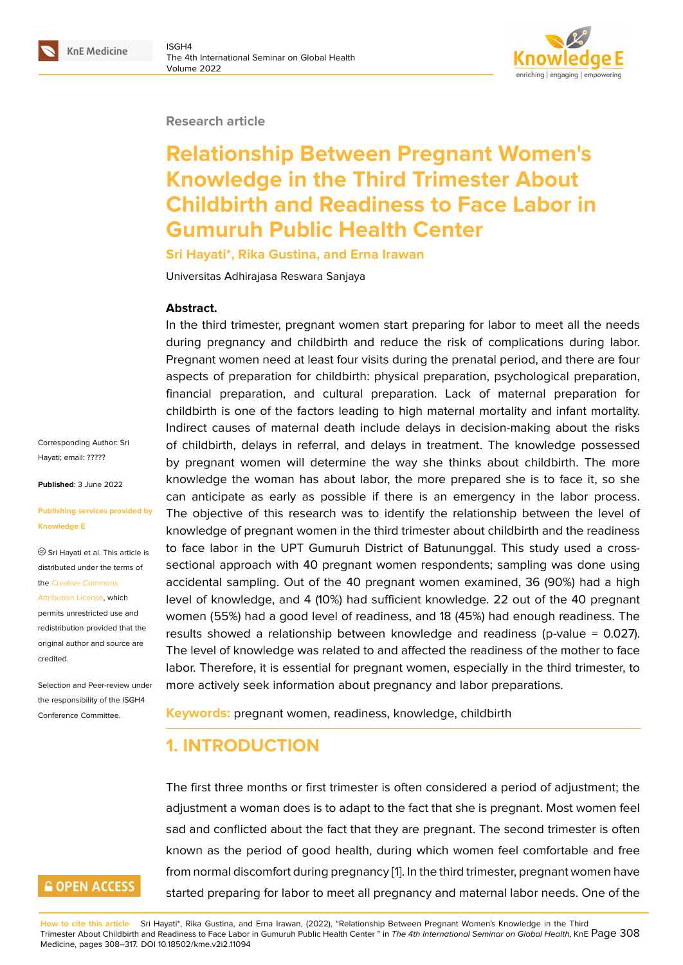#### **Research article**

# **Relationship Between Pregnant Women's Knowledge in the Third Trimester About Childbirth and Readiness to Face Labor in Gumuruh Public Health Center**

#### **Sri Hayati\*, Rika Gustina, and Erna Irawan**

Universitas Adhirajasa Reswara Sanjaya

#### **Abstract.**

In the third trimester, pregnant women start preparing for labor to meet all the needs during pregnancy and childbirth and reduce the risk of complications during labor. Pregnant women need at least four visits during the prenatal period, and there are four aspects of preparation for childbirth: physical preparation, psychological preparation, financial preparation, and cultural preparation. Lack of maternal preparation for childbirth is one of the factors leading to high maternal mortality and infant mortality. Indirect causes of maternal death include delays in decision-making about the risks of childbirth, delays in referral, and delays in treatment. The knowledge possessed by pregnant women will determine the way she thinks about childbirth. The more knowledge the woman has about labor, the more prepared she is to face it, so she can anticipate as early as possible if there is an emergency in the labor process. The objective of this research was to identify the relationship between the level of knowledge of pregnant women in the third trimester about childbirth and the readiness to face labor in the UPT Gumuruh District of Batununggal. This study used a crosssectional approach with 40 pregnant women respondents; sampling was done using accidental sampling. Out of the 40 pregnant women examined, 36 (90%) had a high level of knowledge, and 4 (10%) had sufficient knowledge. 22 out of the 40 pregnant women (55%) had a good level of readiness, and 18 (45%) had enough readiness. The results showed a relationship between knowledge and readiness (p-value = 0.027). The level of knowledge was related to and affected the readiness of the mother to face labor. Therefore, it is essential for pregnant women, especially in the third trimester, to more actively seek information about pregnancy and labor preparations.

**Keywords:** pregnant women, readiness, knowledge, childbirth

# **1. INTRODUCTION**

The first three months or first trimester is often considered a period of adjustment; the adjustment a woman does is to adapt to the fact that she is pregnant. Most women feel sad and conflicted about the fact that they are pregnant. The second trimester is often known as the period of good health, during which women feel comfortable and free from normal discomfort during pregnancy [1]. In the third trimester, pregnant women have started preparing for labor to meet all pregnancy and maternal labor needs. One of the

Corresponding Author: Sri Hayati; email: ?????

**Published**: 3 June 2022

#### **Publishing se[rvices](mailto:?????) provided by Knowledge E**

Sri Hayati et al. This article is distributed under the terms of the Creative Commons Attribution License, which

permits unrestricted use and redistribution provided that the orig[inal author and sou](https://creativecommons.org/licenses/by/4.0/)rce are [credited.](https://creativecommons.org/licenses/by/4.0/)

Selection and Peer-review under the responsibility of the ISGH4 Conference Committee.

# **GOPEN ACCESS**

**How to cite this article**: Sri Hayati\*, Rika Gustina, and Erna Irawan, (2022), "Relationship Between Pregnant Women's Knowledge in the Third Trimester About Childbirth and Readiness to Face Labor in Gumuruh Public Health Center " in *[Th](#page-8-0)e 4th International Seminar on Global Health*, KnE Page 308 Medicine, pages 308–317. DOI 10.18502/kme.v2i2.11094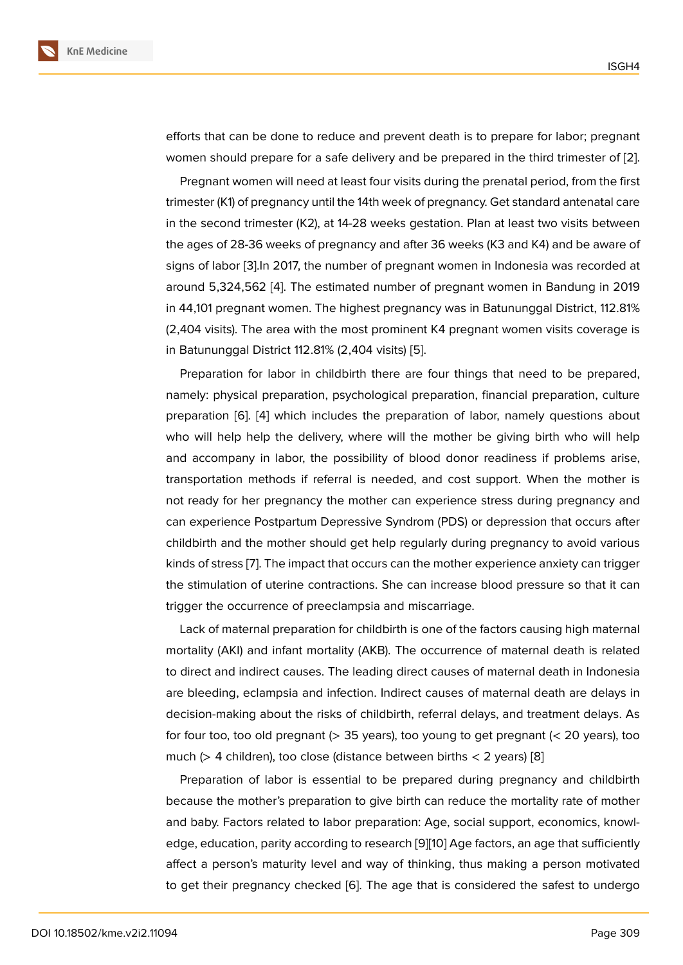efforts that can be done to reduce and prevent death is to prepare for labor; pregnant women should prepare for a safe delivery and be prepared in the third trimester of [2].

Pregnant women will need at least four visits during the prenatal period, from the first trimester (K1) of pregnancy until the 14th week of pregnancy. Get standard antenatal care in the second trimester (K2), at 14-28 weeks gestation. Plan at least two visits betwe[en](#page-8-1) the ages of 28-36 weeks of pregnancy and after 36 weeks (K3 and K4) and be aware of signs of labor [3].In 2017, the number of pregnant women in Indonesia was recorded at around 5,324,562 [4]. The estimated number of pregnant women in Bandung in 2019 in 44,101 pregnant women. The highest pregnancy was in Batununggal District, 112.81% (2,404 visits). [Th](#page-8-2)e area with the most prominent K4 pregnant women visits coverage is in Batununggal Dis[tric](#page-8-3)t 112.81% (2,404 visits) [5].

Preparation for labor in childbirth there are four things that need to be prepared, namely: physical preparation, psychological preparation, financial preparation, culture preparation [6]. [4] which includes the prep[ar](#page-8-4)ation of labor, namely questions about who will help help the delivery, where will the mother be giving birth who will help and accompany in labor, the possibility of blood donor readiness if problems arise, transportatio[n](#page-8-5) m[et](#page-8-3)hods if referral is needed, and cost support. When the mother is not ready for her pregnancy the mother can experience stress during pregnancy and can experience Postpartum Depressive Syndrom (PDS) or depression that occurs after childbirth and the mother should get help regularly during pregnancy to avoid various kinds of stress [7]. The impact that occurs can the mother experience anxiety can trigger the stimulation of uterine contractions. She can increase blood pressure so that it can trigger the occurrence of preeclampsia and miscarriage.

Lack of mat[ern](#page-8-6)al preparation for childbirth is one of the factors causing high maternal mortality (AKI) and infant mortality (AKB). The occurrence of maternal death is related to direct and indirect causes. The leading direct causes of maternal death in Indonesia are bleeding, eclampsia and infection. Indirect causes of maternal death are delays in decision-making about the risks of childbirth, referral delays, and treatment delays. As for four too, too old pregnant  $(> 35$  years), too young to get pregnant  $(< 20$  years), too much ( $>$  4 children), too close (distance between births  $<$  2 years) [8]

Preparation of labor is essential to be prepared during pregnancy and childbirth because the mother's preparation to give birth can reduce the mortality rate of mother and baby. Factors related to labor preparation: Age, social support[, e](#page-8-7)conomics, knowledge, education, parity according to research [9][10] Age factors, an age that sufficiently affect a person's maturity level and way of thinking, thus making a person motivated to get their pregnancy checked [6]. The age that is considered the safest to undergo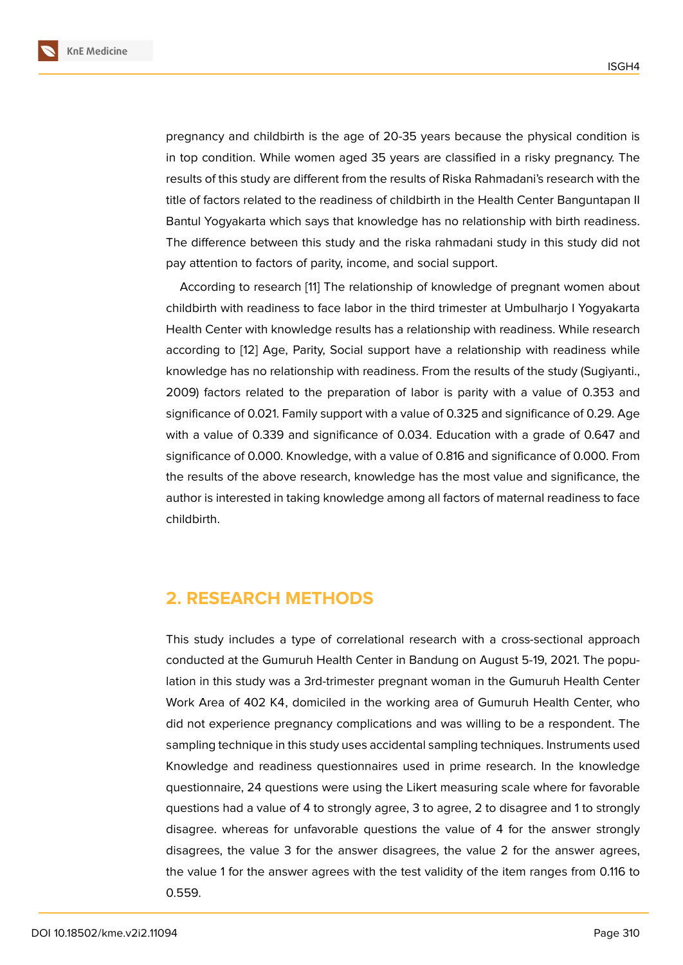pregnancy and childbirth is the age of 20-35 years because the physical condition is in top condition. While women aged 35 years are classified in a risky pregnancy. The results of this study are different from the results of Riska Rahmadani's research with the title of factors related to the readiness of childbirth in the Health Center Banguntapan II Bantul Yogyakarta which says that knowledge has no relationship with birth readiness. The difference between this study and the riska rahmadani study in this study did not pay attention to factors of parity, income, and social support.

According to research [11] The relationship of knowledge of pregnant women about childbirth with readiness to face labor in the third trimester at Umbulharjo I Yogyakarta Health Center with knowledge results has a relationship with readiness. While research according to [12] Age, Pa[rit](#page-9-0)y, Social support have a relationship with readiness while knowledge has no relationship with readiness. From the results of the study (Sugiyanti., 2009) factors related to the preparation of labor is parity with a value of 0.353 and significance o[f 0](#page-9-1).021. Family support with a value of 0.325 and significance of 0.29. Age with a value of 0.339 and significance of 0.034. Education with a grade of 0.647 and significance of 0.000. Knowledge, with a value of 0.816 and significance of 0.000. From the results of the above research, knowledge has the most value and significance, the author is interested in taking knowledge among all factors of maternal readiness to face childbirth.

# **2. RESEARCH METHODS**

This study includes a type of correlational research with a cross-sectional approach conducted at the Gumuruh Health Center in Bandung on August 5-19, 2021. The population in this study was a 3rd-trimester pregnant woman in the Gumuruh Health Center Work Area of 402 K4, domiciled in the working area of Gumuruh Health Center, who did not experience pregnancy complications and was willing to be a respondent. The sampling technique in this study uses accidental sampling techniques. Instruments used Knowledge and readiness questionnaires used in prime research. In the knowledge questionnaire, 24 questions were using the Likert measuring scale where for favorable questions had a value of 4 to strongly agree, 3 to agree, 2 to disagree and 1 to strongly disagree. whereas for unfavorable questions the value of 4 for the answer strongly disagrees, the value 3 for the answer disagrees, the value 2 for the answer agrees, the value 1 for the answer agrees with the test validity of the item ranges from 0.116 to 0.559.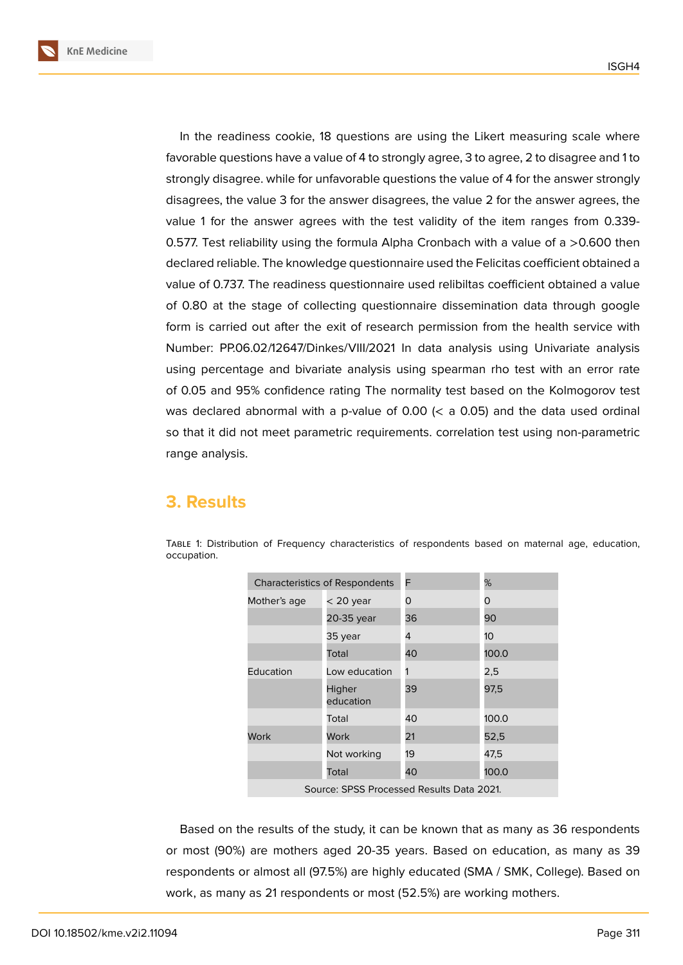**KnE Medicine**

In the readiness cookie, 18 questions are using the Likert measuring scale where favorable questions have a value of 4 to strongly agree, 3 to agree, 2 to disagree and 1 to strongly disagree. while for unfavorable questions the value of 4 for the answer strongly disagrees, the value 3 for the answer disagrees, the value 2 for the answer agrees, the value 1 for the answer agrees with the test validity of the item ranges from 0.339- 0.577. Test reliability using the formula Alpha Cronbach with a value of a >0.600 then declared reliable. The knowledge questionnaire used the Felicitas coefficient obtained a value of 0.737. The readiness questionnaire used relibiltas coefficient obtained a value of 0.80 at the stage of collecting questionnaire dissemination data through google form is carried out after the exit of research permission from the health service with

Number: PP.06.02/12647/Dinkes/VIII/2021 In data analysis using Univariate analysis using percentage and bivariate analysis using spearman rho test with an error rate of 0.05 and 95% confidence rating The normality test based on the Kolmogorov test was declared abnormal with a p-value of 0.00 ( $\lt$  a 0.05) and the data used ordinal so that it did not meet parametric requirements. correlation test using non-parametric range analysis.

### **3. Results**

| <b>Characteristics of Respondents</b>     |                     | F  | %               |  |
|-------------------------------------------|---------------------|----|-----------------|--|
| Mother's age                              | $<$ 20 year         | O  | 0               |  |
|                                           | 20-35 year          | 36 | 90              |  |
|                                           | 35 year             | 4  | 10 <sup>°</sup> |  |
|                                           | Total               | 40 | 100.0           |  |
| Education                                 | Low education       |    | 2,5             |  |
|                                           | Higher<br>education | 39 | 97,5            |  |
|                                           | Total               | 40 | 100.0           |  |
| Work                                      | Work                | 21 | 52,5            |  |
|                                           | Not working         | 19 | 47,5            |  |
|                                           | Total               | 40 | 100.0           |  |
| Source: SPSS Processed Results Data 2021. |                     |    |                 |  |

Table 1: Distribution of Frequency characteristics of respondents based on maternal age, education, occupation.

Based on the results of the study, it can be known that as many as 36 respondents or most (90%) are mothers aged 20-35 years. Based on education, as many as 39 respondents or almost all (97.5%) are highly educated (SMA / SMK, College). Based on work, as many as 21 respondents or most (52.5%) are working mothers.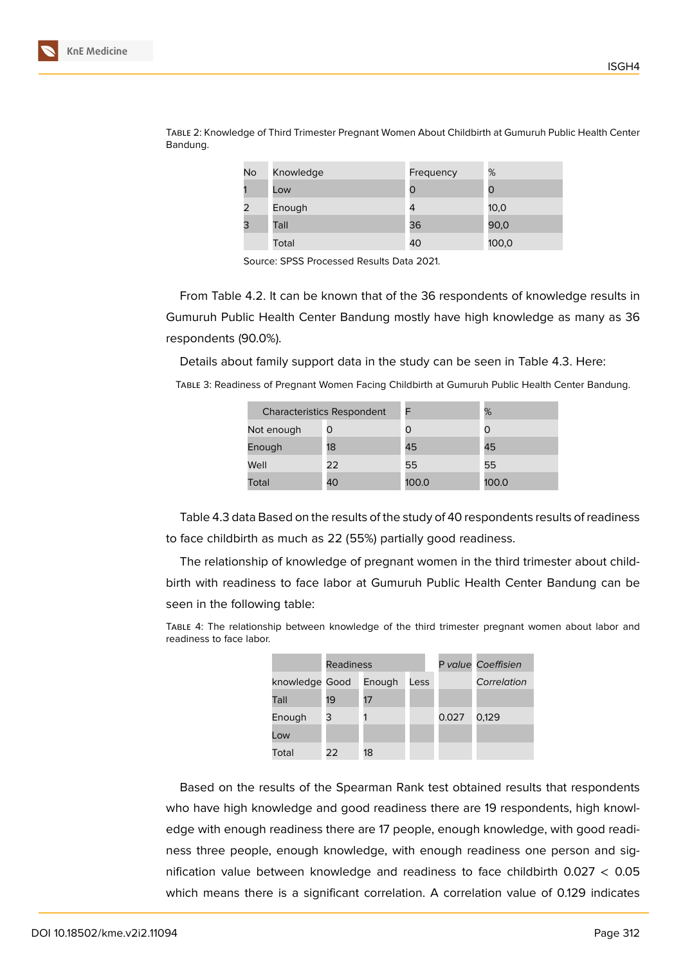| No | Knowledge | Frequency | %     |
|----|-----------|-----------|-------|
|    | Low       | Ω         | 0     |
| 2  | Enough    | 4         | 10,0  |
| 3  | Tall      | 36        | 90,0  |
|    | Total     | 40        | 100,0 |

Table 2: Knowledge of Third Trimester Pregnant Women About Childbirth at Gumuruh Public Health Center Bandung.

Source: SPSS Processed Results Data 2021.

From Table 4.2. It can be known that of the 36 respondents of knowledge results in Gumuruh Public Health Center Bandung mostly have high knowledge as many as 36 respondents (90.0%).

Details about family support data in the study can be seen in Table 4.3. Here:

Table 3: Readiness of Pregnant Women Facing Childbirth at Gumuruh Public Health Center Bandung.

| <b>Characteristics Respondent</b> |    |       | %     |
|-----------------------------------|----|-------|-------|
| Not enough                        | O  |       | O     |
| Enough                            | 18 | 45    | 45    |
| Well                              | 22 | 55    | 55    |
| Total                             | 40 | 100.0 | 100.0 |

Table 4.3 data Based on the results of the study of 40 respondents results of readiness to face childbirth as much as 22 (55%) partially good readiness.

The relationship of knowledge of pregnant women in the third trimester about childbirth with readiness to face labor at Gumuruh Public Health Center Bandung can be seen in the following table:

Table 4: The relationship between knowledge of the third trimester pregnant women about labor and readiness to face labor.

|                | <b>Readiness</b> |        |      |       | P value Coeffisien |
|----------------|------------------|--------|------|-------|--------------------|
| knowledge Good |                  | Enough | Less |       | Correlation        |
| Tall           | 19               | 17     |      |       |                    |
| Enough         | 3                |        |      | 0.027 | 0,129              |
| Low            |                  |        |      |       |                    |
| Total          | 22               | 18     |      |       |                    |
|                |                  |        |      |       |                    |

Based on the results of the Spearman Rank test obtained results that respondents who have high knowledge and good readiness there are 19 respondents, high knowledge with enough readiness there are 17 people, enough knowledge, with good readiness three people, enough knowledge, with enough readiness one person and signification value between knowledge and readiness to face childbirth  $0.027 < 0.05$ which means there is a significant correlation. A correlation value of 0.129 indicates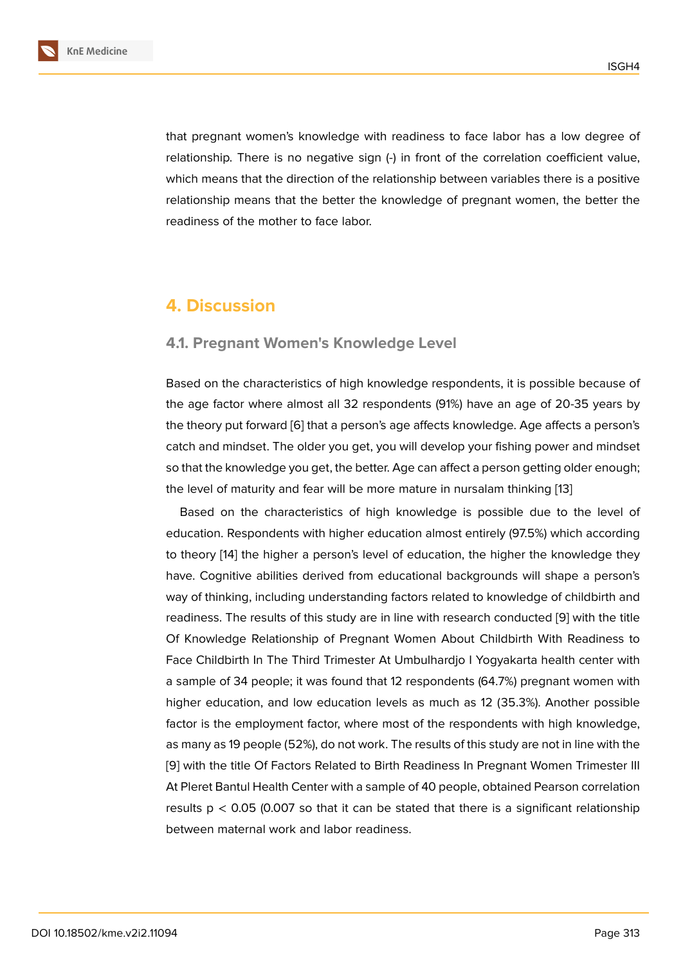that pregnant women's knowledge with readiness to face labor has a low degree of relationship. There is no negative sign (-) in front of the correlation coefficient value, which means that the direction of the relationship between variables there is a positive relationship means that the better the knowledge of pregnant women, the better the readiness of the mother to face labor.

### **4. Discussion**

#### **4.1. Pregnant Women's Knowledge Level**

Based on the characteristics of high knowledge respondents, it is possible because of the age factor where almost all 32 respondents (91%) have an age of 20-35 years by the theory put forward [6] that a person's age affects knowledge. Age affects a person's catch and mindset. The older you get, you will develop your fishing power and mindset so that the knowledge you get, the better. Age can affect a person getting older enough; the level of maturity an[d](#page-8-5) fear will be more mature in nursalam thinking [13]

Based on the characteristics of high knowledge is possible due to the level of education. Respondents with higher education almost entirely (97.5%) which according to theory [14] the higher a person's level of education, the higher the k[no](#page-9-2)wledge they have. Cognitive abilities derived from educational backgrounds will shape a person's way of thinking, including understanding factors related to knowledge of childbirth and readiness. [Th](#page-9-3)e results of this study are in line with research conducted [9] with the title Of Knowledge Relationship of Pregnant Women About Childbirth With Readiness to Face Childbirth In The Third Trimester At Umbulhardjo I Yogyakarta health center with a sample of 34 people; it was found that 12 respondents (64.7%) pregn[ant](#page-8-8) women with higher education, and low education levels as much as 12 (35.3%). Another possible factor is the employment factor, where most of the respondents with high knowledge, as many as 19 people (52%), do not work. The results of this study are not in line with the [9] with the title Of Factors Related to Birth Readiness In Pregnant Women Trimester III At Pleret Bantul Health Center with a sample of 40 people, obtained Pearson correlation results  $p < 0.05$  (0.007 so that it can be stated that there is a significant relationship [be](#page-8-8)tween maternal work and labor readiness.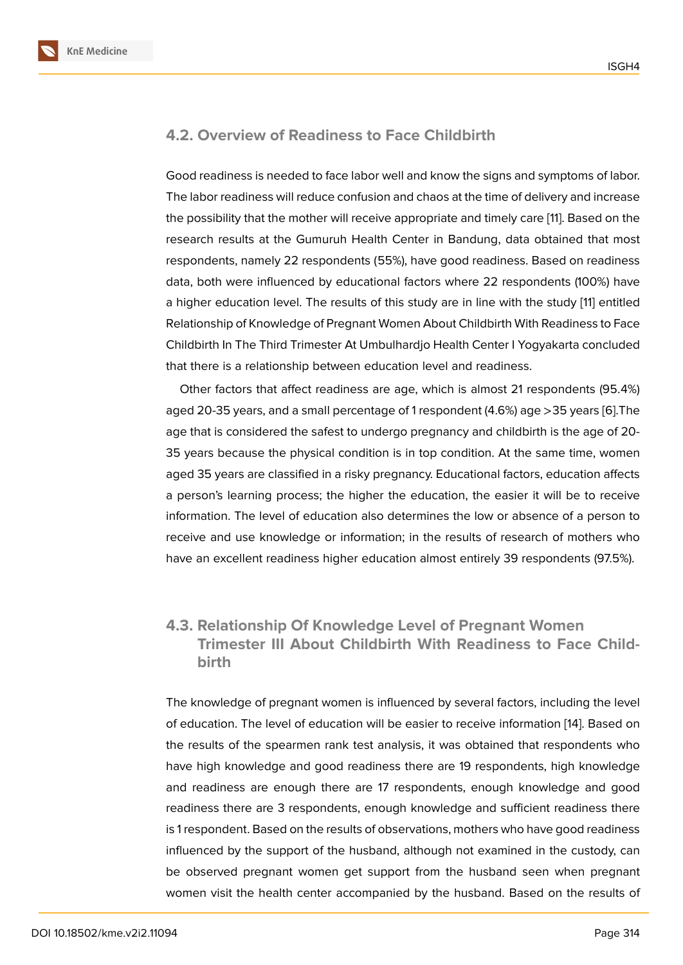### **4.2. Overview of Readiness to Face Childbirth**

Good readiness is needed to face labor well and know the signs and symptoms of labor. The labor readiness will reduce confusion and chaos at the time of delivery and increase the possibility that the mother will receive appropriate and timely care [11]. Based on the research results at the Gumuruh Health Center in Bandung, data obtained that most respondents, namely 22 respondents (55%), have good readiness. Based on readiness data, both were influenced by educational factors where 22 respond[en](#page-9-0)ts (100%) have a higher education level. The results of this study are in line with the study [11] entitled Relationship of Knowledge of Pregnant Women About Childbirth With Readiness to Face Childbirth In The Third Trimester At Umbulhardjo Health Center I Yogyakarta concluded that there is a relationship between education level and readiness.

Other factors that affect readiness are age, which is almost 21 respondents (95.4%) aged 20-35 years, and a small percentage of 1 respondent (4.6%) age >35 years [6].The age that is considered the safest to undergo pregnancy and childbirth is the age of 20- 35 years because the physical condition is in top condition. At the same time, women aged 35 years are classified in a risky pregnancy. Educational factors, education [af](#page-8-5)fects a person's learning process; the higher the education, the easier it will be to receive information. The level of education also determines the low or absence of a person to receive and use knowledge or information; in the results of research of mothers who have an excellent readiness higher education almost entirely 39 respondents (97.5%).

### **4.3. Relationship Of Knowledge Level of Pregnant Women Trimester III About Childbirth With Readiness to Face Childbirth**

The knowledge of pregnant women is influenced by several factors, including the level of education. The level of education will be easier to receive information [14]. Based on the results of the spearmen rank test analysis, it was obtained that respondents who have high knowledge and good readiness there are 19 respondents, high knowledge and readiness are enough there are 17 respondents, enough knowled[ge](#page-9-3) and good readiness there are 3 respondents, enough knowledge and sufficient readiness there is 1 respondent. Based on the results of observations, mothers who have good readiness influenced by the support of the husband, although not examined in the custody, can be observed pregnant women get support from the husband seen when pregnant women visit the health center accompanied by the husband. Based on the results of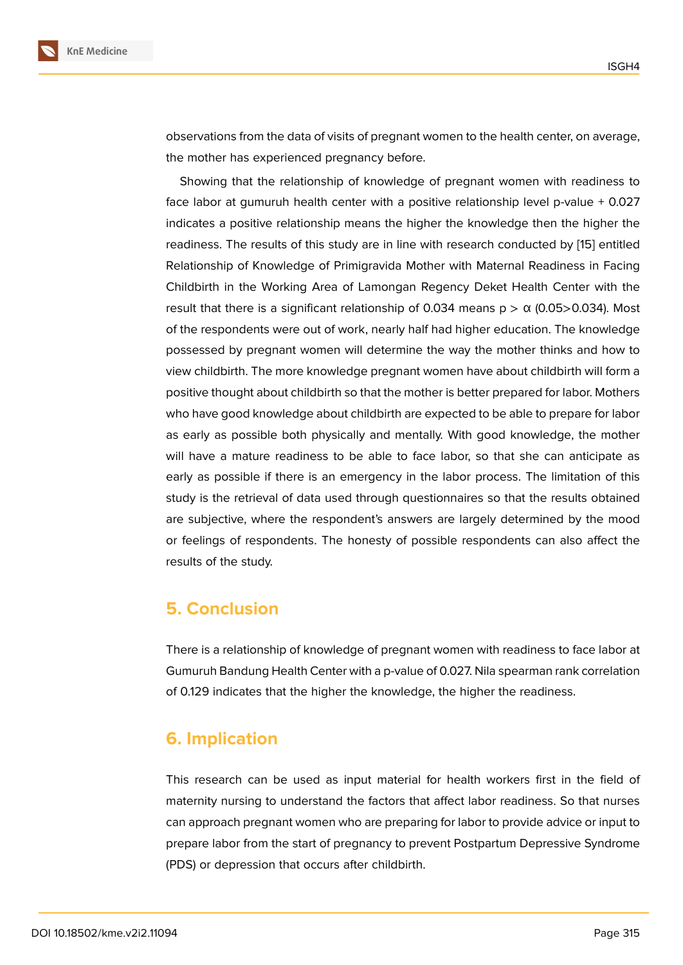observations from the data of visits of pregnant women to the health center, on average, the mother has experienced pregnancy before.

Showing that the relationship of knowledge of pregnant women with readiness to face labor at gumuruh health center with a positive relationship level p-value + 0.027 indicates a positive relationship means the higher the knowledge then the higher the readiness. The results of this study are in line with research conducted by [15] entitled Relationship of Knowledge of Primigravida Mother with Maternal Readiness in Facing Childbirth in the Working Area of Lamongan Regency Deket Health Center with the result that there is a significant relationship of 0[.03](#page-9-4)4 means  $p > \alpha$  (0.05>0.034). Most of the respondents were out of work, nearly half had higher education. The knowledge possessed by pregnant women will determine the way the mother thinks and how to view childbirth. The more knowledge pregnant women have about childbirth will form a positive thought about childbirth so that the mother is better prepared for labor. Mothers who have good knowledge about childbirth are expected to be able to prepare for labor as early as possible both physically and mentally. With good knowledge, the mother will have a mature readiness to be able to face labor, so that she can anticipate as early as possible if there is an emergency in the labor process. The limitation of this study is the retrieval of data used through questionnaires so that the results obtained are subjective, where the respondent's answers are largely determined by the mood or feelings of respondents. The honesty of possible respondents can also affect the results of the study.

### **5. Conclusion**

There is a relationship of knowledge of pregnant women with readiness to face labor at Gumuruh Bandung Health Center with a p-value of 0.027. Nila spearman rank correlation of 0.129 indicates that the higher the knowledge, the higher the readiness.

# **6. Implication**

This research can be used as input material for health workers first in the field of maternity nursing to understand the factors that affect labor readiness. So that nurses can approach pregnant women who are preparing for labor to provide advice or input to prepare labor from the start of pregnancy to prevent Postpartum Depressive Syndrome (PDS) or depression that occurs after childbirth.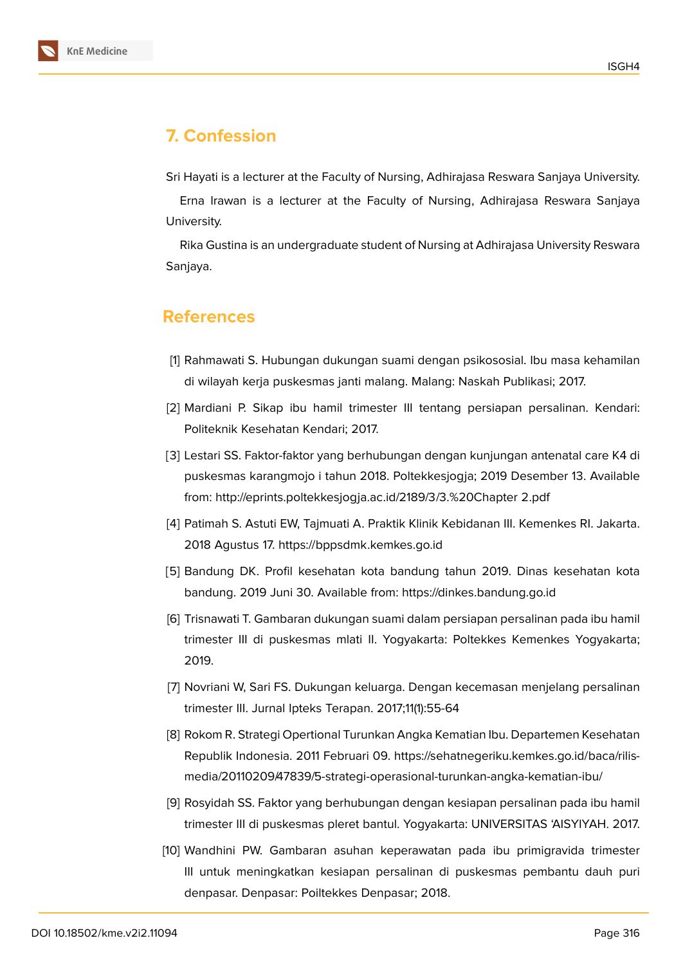

# **7. Confession**

Sri Hayati is a lecturer at the Faculty of Nursing, Adhirajasa Reswara Sanjaya University.

Erna Irawan is a lecturer at the Faculty of Nursing, Adhirajasa Reswara Sanjaya University.

Rika Gustina is an undergraduate student of Nursing at Adhirajasa University Reswara Sanjaya.

### **References**

- <span id="page-8-0"></span>[1] Rahmawati S. Hubungan dukungan suami dengan psikososial. Ibu masa kehamilan di wilayah kerja puskesmas janti malang. Malang: Naskah Publikasi; 2017.
- <span id="page-8-1"></span>[2] Mardiani P. Sikap ibu hamil trimester III tentang persiapan persalinan. Kendari: Politeknik Kesehatan Kendari; 2017.
- <span id="page-8-2"></span>[3] Lestari SS. Faktor-faktor yang berhubungan dengan kunjungan antenatal care K4 di puskesmas karangmojo i tahun 2018. Poltekkesjogja; 2019 Desember 13. Available from: http://eprints.poltekkesjogja.ac.id/2189/3/3.%20Chapter 2.pdf
- <span id="page-8-3"></span>[4] Patimah S. Astuti EW, Tajmuati A. Praktik Klinik Kebidanan III. Kemenkes RI. Jakarta. 2018 Agustus 17. https://bppsdmk.kemkes.go.id
- <span id="page-8-4"></span>[5] Bandung DK. Profil kesehatan kota bandung tahun 2019. Dinas kesehatan kota bandung. 2019 Juni 30. Available from: https://dinkes.bandung.go.id
- <span id="page-8-5"></span>[6] Trisnawati T. Gambaran dukungan suami dalam persiapan persalinan pada ibu hamil trimester III di puskesmas mlati II. Yogyakarta: Poltekkes Kemenkes Yogyakarta; 2019.
- <span id="page-8-6"></span>[7] Novriani W, Sari FS. Dukungan keluarga. Dengan kecemasan menjelang persalinan trimester III. Jurnal Ipteks Terapan. 2017;11(1):55-64
- <span id="page-8-7"></span>[8] Rokom R. Strategi Opertional Turunkan Angka Kematian Ibu. Departemen Kesehatan Republik Indonesia. 2011 Februari 09. https://sehatnegeriku.kemkes.go.id/baca/rilismedia/20110209/47839/5-strategi-operasional-turunkan-angka-kematian-ibu/
- <span id="page-8-8"></span>[9] Rosyidah SS. Faktor yang berhubungan dengan kesiapan persalinan pada ibu hamil trimester III di puskesmas pleret bantul. Yogyakarta: UNIVERSITAS 'AISYIYAH. 2017.
- [10] Wandhini PW. Gambaran asuhan keperawatan pada ibu primigravida trimester III untuk meningkatkan kesiapan persalinan di puskesmas pembantu dauh puri denpasar. Denpasar: Poiltekkes Denpasar; 2018.